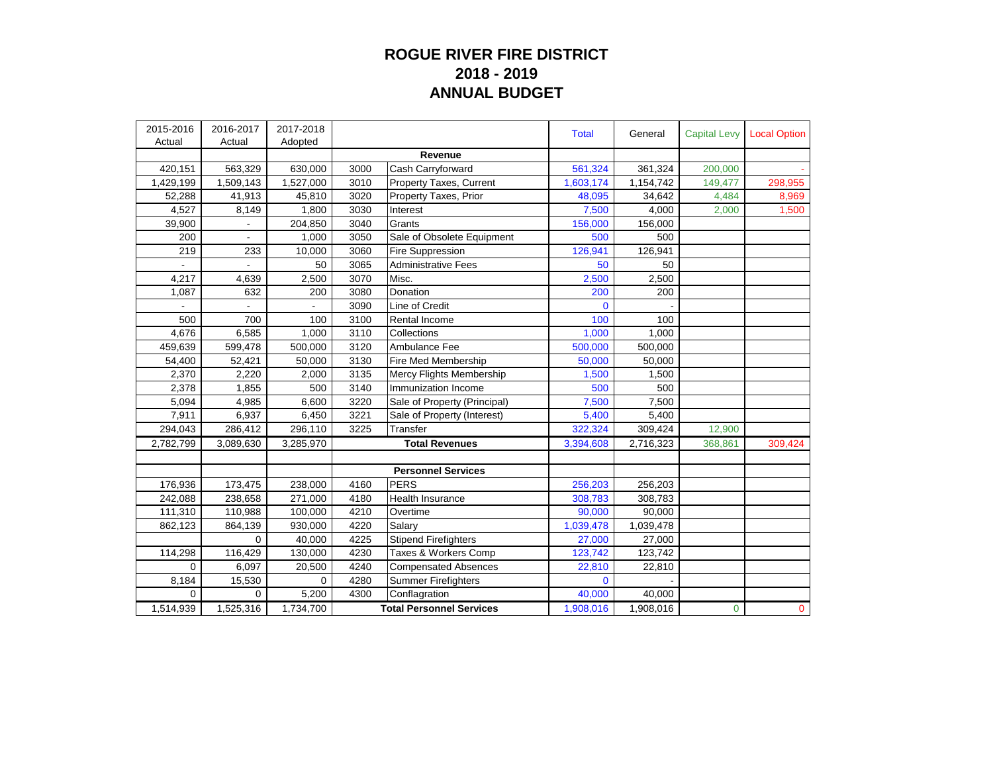## **ROGUE RIVER FIRE DISTRICT 2018 - 2019 ANNUAL BUDGET**

| 2015-2016 | 2016-2017 | 2017-2018 |                                 |                              | <b>Total</b>   | General   | <b>Capital Levy</b> | <b>Local Option</b> |
|-----------|-----------|-----------|---------------------------------|------------------------------|----------------|-----------|---------------------|---------------------|
| Actual    | Actual    | Adopted   |                                 |                              |                |           |                     |                     |
|           |           |           |                                 | Revenue                      |                |           |                     |                     |
| 420,151   | 563,329   | 630,000   | 3000                            | Cash Carryforward            | 561,324        | 361,324   | 200,000             |                     |
| 1,429,199 | 1,509,143 | 1,527,000 | 3010                            | Property Taxes, Current      | 1,603,174      | 1,154,742 | 149,477             | 298,955             |
| 52,288    | 41,913    | 45,810    | 3020                            | Property Taxes, Prior        | 48,095         | 34,642    | 4,484               | 8,969               |
| 4,527     | 8,149     | 1,800     | 3030                            | Interest                     | 7,500          | 4,000     | 2,000               | 1,500               |
| 39,900    |           | 204,850   | 3040                            | Grants                       | 156,000        | 156,000   |                     |                     |
| 200       |           | 1,000     | 3050                            | Sale of Obsolete Equipment   | 500            | 500       |                     |                     |
| 219       | 233       | 10,000    | 3060                            | <b>Fire Suppression</b>      | 126,941        | 126,941   |                     |                     |
|           |           | 50        | 3065                            | <b>Administrative Fees</b>   | 50             | 50        |                     |                     |
| 4,217     | 4,639     | 2,500     | 3070                            | Misc.                        | 2,500          | 2,500     |                     |                     |
| 1,087     | 632       | 200       | 3080                            | Donation                     | 200            | 200       |                     |                     |
|           |           |           | 3090                            | Line of Credit               | $\overline{0}$ |           |                     |                     |
| 500       | 700       | 100       | 3100                            | Rental Income                | 100            | 100       |                     |                     |
| 4,676     | 6,585     | 1.000     | 3110                            | Collections                  | 1,000          | 1,000     |                     |                     |
| 459,639   | 599,478   | 500,000   | 3120                            | Ambulance Fee                | 500,000        | 500,000   |                     |                     |
| 54,400    | 52,421    | 50,000    | 3130                            | Fire Med Membership          | 50,000         | 50,000    |                     |                     |
| 2,370     | 2,220     | 2,000     | 3135                            | Mercy Flights Membership     | 1,500          | 1,500     |                     |                     |
| 2,378     | 1,855     | 500       | 3140                            | Immunization Income          | 500            | 500       |                     |                     |
| 5,094     | 4,985     | 6,600     | 3220                            | Sale of Property (Principal) | 7,500          | 7,500     |                     |                     |
| 7,911     | 6,937     | 6,450     | 3221                            | Sale of Property (Interest)  | 5,400          | 5,400     |                     |                     |
| 294,043   | 286,412   | 296,110   | 3225                            | Transfer                     | 322,324        | 309,424   | 12,900              |                     |
| 2,782,799 | 3,089,630 | 3,285,970 | <b>Total Revenues</b>           |                              | 3,394,608      | 2,716,323 | 368,861             | 309,424             |
|           |           |           |                                 |                              |                |           |                     |                     |
|           |           |           |                                 | <b>Personnel Services</b>    |                |           |                     |                     |
| 176,936   | 173,475   | 238,000   | 4160                            | <b>PERS</b>                  | 256,203        | 256,203   |                     |                     |
| 242,088   | 238,658   | 271,000   | 4180                            | <b>Health Insurance</b>      | 308,783        | 308,783   |                     |                     |
| 111,310   | 110,988   | 100,000   | 4210                            | Overtime                     | 90,000         | 90,000    |                     |                     |
| 862,123   | 864,139   | 930,000   | 4220                            | Salary                       | 1,039,478      | 1,039,478 |                     |                     |
|           | $\Omega$  | 40,000    | 4225                            | <b>Stipend Firefighters</b>  | 27,000         | 27,000    |                     |                     |
| 114,298   | 116,429   | 130,000   | 4230                            | Taxes & Workers Comp         | 123,742        | 123,742   |                     |                     |
| 0         | 6.097     | 20,500    | 4240                            | <b>Compensated Absences</b>  | 22,810         | 22,810    |                     |                     |
| 8,184     | 15,530    | 0         | 4280                            | <b>Summer Firefighters</b>   | $\Omega$       |           |                     |                     |
| 0         | 0         | 5,200     | 4300                            | Conflagration                | 40,000         | 40,000    |                     |                     |
| 1,514,939 | 1,525,316 | 1,734,700 | <b>Total Personnel Services</b> |                              | 1,908,016      | 1,908,016 | $\mathbf 0$         | $\mathbf 0$         |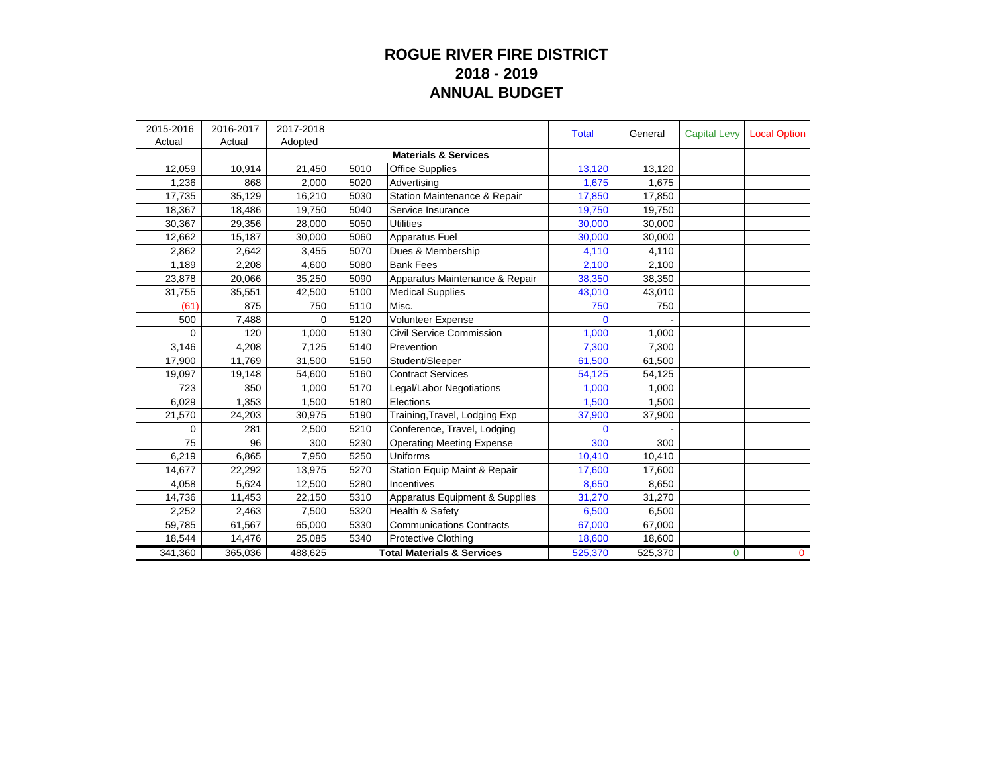## **ROGUE RIVER FIRE DISTRICT 2018 - 2019 ANNUAL BUDGET**

| 2015-2016 | 2016-2017 | 2017-2018 |      |                                       | <b>Total</b> | General | <b>Capital Levy</b> | <b>Local Option</b> |
|-----------|-----------|-----------|------|---------------------------------------|--------------|---------|---------------------|---------------------|
| Actual    | Actual    | Adopted   |      |                                       |              |         |                     |                     |
|           |           |           |      | <b>Materials &amp; Services</b>       |              |         |                     |                     |
| 12,059    | 10,914    | 21,450    | 5010 | <b>Office Supplies</b>                | 13,120       | 13,120  |                     |                     |
| 1,236     | 868       | 2,000     | 5020 | Advertising                           | 1,675        | 1,675   |                     |                     |
| 17,735    | 35,129    | 16,210    | 5030 | Station Maintenance & Repair          | 17,850       | 17,850  |                     |                     |
| 18,367    | 18,486    | 19,750    | 5040 | Service Insurance                     | 19,750       | 19,750  |                     |                     |
| 30,367    | 29,356    | 28,000    | 5050 | Utilities                             | 30,000       | 30,000  |                     |                     |
| 12,662    | 15,187    | 30,000    | 5060 | Apparatus Fuel                        | 30,000       | 30,000  |                     |                     |
| 2,862     | 2,642     | 3,455     | 5070 | Dues & Membership                     | 4,110        | 4,110   |                     |                     |
| 1,189     | 2,208     | 4.600     | 5080 | <b>Bank Fees</b>                      | 2,100        | 2.100   |                     |                     |
| 23,878    | 20,066    | 35,250    | 5090 | Apparatus Maintenance & Repair        | 38,350       | 38,350  |                     |                     |
| 31,755    | 35,551    | 42,500    | 5100 | <b>Medical Supplies</b>               | 43,010       | 43,010  |                     |                     |
| (61)      | 875       | 750       | 5110 | Misc.                                 | 750          | 750     |                     |                     |
| 500       | 7,488     | 0         | 5120 | Volunteer Expense                     | $\mathbf{0}$ |         |                     |                     |
| $\Omega$  | 120       | 1,000     | 5130 | Civil Service Commission              | 1,000        | 1,000   |                     |                     |
| 3,146     | 4,208     | 7,125     | 5140 | Prevention                            | 7,300        | 7,300   |                     |                     |
| 17,900    | 11,769    | 31,500    | 5150 | Student/Sleeper                       | 61,500       | 61,500  |                     |                     |
| 19,097    | 19,148    | 54,600    | 5160 | <b>Contract Services</b>              | 54,125       | 54,125  |                     |                     |
| 723       | 350       | 1,000     | 5170 | Legal/Labor Negotiations              | 1,000        | 1,000   |                     |                     |
| 6,029     | 1,353     | 1,500     | 5180 | Elections                             | 1,500        | 1,500   |                     |                     |
| 21,570    | 24,203    | 30,975    | 5190 | Training, Travel, Lodging Exp         | 37,900       | 37,900  |                     |                     |
| 0         | 281       | 2,500     | 5210 | Conference, Travel, Lodging           | $\mathbf{0}$ |         |                     |                     |
| 75        | 96        | 300       | 5230 | <b>Operating Meeting Expense</b>      | 300          | 300     |                     |                     |
| 6,219     | 6,865     | 7,950     | 5250 | Uniforms                              | 10,410       | 10,410  |                     |                     |
| 14,677    | 22,292    | 13,975    | 5270 | Station Equip Maint & Repair          | 17,600       | 17,600  |                     |                     |
| 4,058     | 5,624     | 12,500    | 5280 | Incentives                            | 8,650        | 8,650   |                     |                     |
| 14,736    | 11,453    | 22,150    | 5310 | Apparatus Equipment & Supplies        | 31,270       | 31,270  |                     |                     |
| 2,252     | 2,463     | 7,500     | 5320 | Health & Safety                       | 6,500        | 6,500   |                     |                     |
| 59,785    | 61,567    | 65,000    | 5330 | <b>Communications Contracts</b>       | 67,000       | 67,000  |                     |                     |
| 18,544    | 14,476    | 25,085    | 5340 | <b>Protective Clothing</b>            | 18,600       | 18,600  |                     |                     |
| 341,360   | 365,036   | 488,625   |      | <b>Total Materials &amp; Services</b> | 525,370      | 525,370 | $\mathbf 0$         | $\mathbf{0}$        |